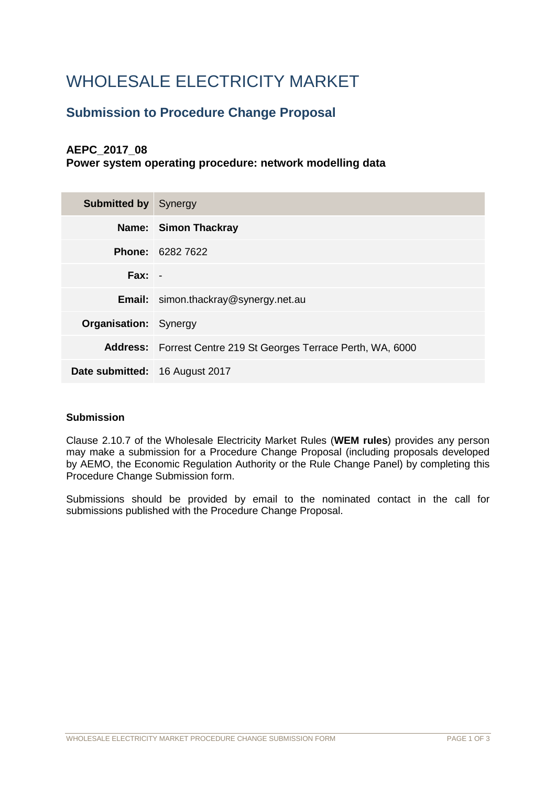# WHOLESALE ELECTRICITY MARKET

# **Submission to Procedure Change Proposal**

# **AEPC\_2017\_08**

**Power system operating procedure: network modelling data**

| <b>Submitted by Synergy</b>    |                                                                       |
|--------------------------------|-----------------------------------------------------------------------|
|                                | Name: Simon Thackray                                                  |
|                                | <b>Phone: 6282 7622</b>                                               |
| $Fax: -$                       |                                                                       |
|                                | <b>Email:</b> simon.thackray@synergy.net.au                           |
| <b>Organisation:</b> Synergy   |                                                                       |
|                                | <b>Address:</b> Forrest Centre 219 St Georges Terrace Perth, WA, 6000 |
| Date submitted: 16 August 2017 |                                                                       |

## **Submission**

Clause 2.10.7 of the Wholesale Electricity Market Rules (**WEM rules**) provides any person may make a submission for a Procedure Change Proposal (including proposals developed by AEMO, the Economic Regulation Authority or the Rule Change Panel) by completing this Procedure Change Submission form.

Submissions should be provided by email to the nominated contact in the call for submissions published with the Procedure Change Proposal.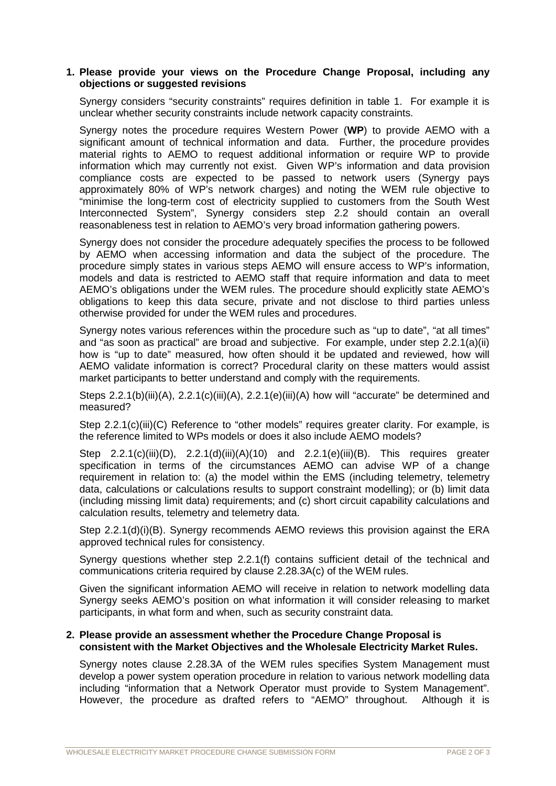### **1. Please provide your views on the Procedure Change Proposal, including any objections or suggested revisions**

Synergy considers "security constraints" requires definition in table 1. For example it is unclear whether security constraints include network capacity constraints.

Synergy notes the procedure requires Western Power (**WP**) to provide AEMO with a significant amount of technical information and data. Further, the procedure provides material rights to AEMO to request additional information or require WP to provide information which may currently not exist. Given WP's information and data provision compliance costs are expected to be passed to network users (Synergy pays approximately 80% of WP's network charges) and noting the WEM rule objective to "minimise the long-term cost of electricity supplied to customers from the South West Interconnected System", Synergy considers step 2.2 should contain an overall reasonableness test in relation to AEMO's very broad information gathering powers.

Synergy does not consider the procedure adequately specifies the process to be followed by AEMO when accessing information and data the subject of the procedure. The procedure simply states in various steps AEMO will ensure access to WP's information, models and data is restricted to AEMO staff that require information and data to meet AEMO's obligations under the WEM rules. The procedure should explicitly state AEMO's obligations to keep this data secure, private and not disclose to third parties unless otherwise provided for under the WEM rules and procedures.

Synergy notes various references within the procedure such as "up to date", "at all times" and "as soon as practical" are broad and subjective. For example, under step 2.2.1(a)(ii) how is "up to date" measured, how often should it be updated and reviewed, how will AEMO validate information is correct? Procedural clarity on these matters would assist market participants to better understand and comply with the requirements.

Steps 2.2.1(b)(iii)(A), 2.2.1(c)(iii)(A), 2.2.1(e)(iii)(A) how will "accurate" be determined and measured?

Step 2.2.1(c)(iii)(C) Reference to "other models" requires greater clarity. For example, is the reference limited to WPs models or does it also include AEMO models?

Step  $2.2.1(c)(iii)(D)$ ,  $2.2.1(d)(iii)(A)(10)$  and  $2.2.1(e)(iii)(B)$ . This requires greater specification in terms of the circumstances AEMO can advise WP of a change requirement in relation to: (a) the model within the EMS (including telemetry, telemetry data, calculations or calculations results to support constraint modelling); or (b) limit data (including missing limit data) requirements; and (c) short circuit capability calculations and calculation results, telemetry and telemetry data.

Step 2.2.1(d)(i)(B). Synergy recommends AEMO reviews this provision against the ERA approved technical rules for consistency.

Synergy questions whether step 2.2.1(f) contains sufficient detail of the technical and communications criteria required by clause 2.28.3A(c) of the WEM rules.

Given the significant information AEMO will receive in relation to network modelling data Synergy seeks AEMO's position on what information it will consider releasing to market participants, in what form and when, such as security constraint data.

#### **2. Please provide an assessment whether the Procedure Change Proposal is consistent with the Market Objectives and the Wholesale Electricity Market Rules.**

Synergy notes clause 2.28.3A of the WEM rules specifies System Management must develop a power system operation procedure in relation to various network modelling data including "information that a Network Operator must provide to System Management". However, the procedure as drafted refers to "AEMO" throughout. Although it is